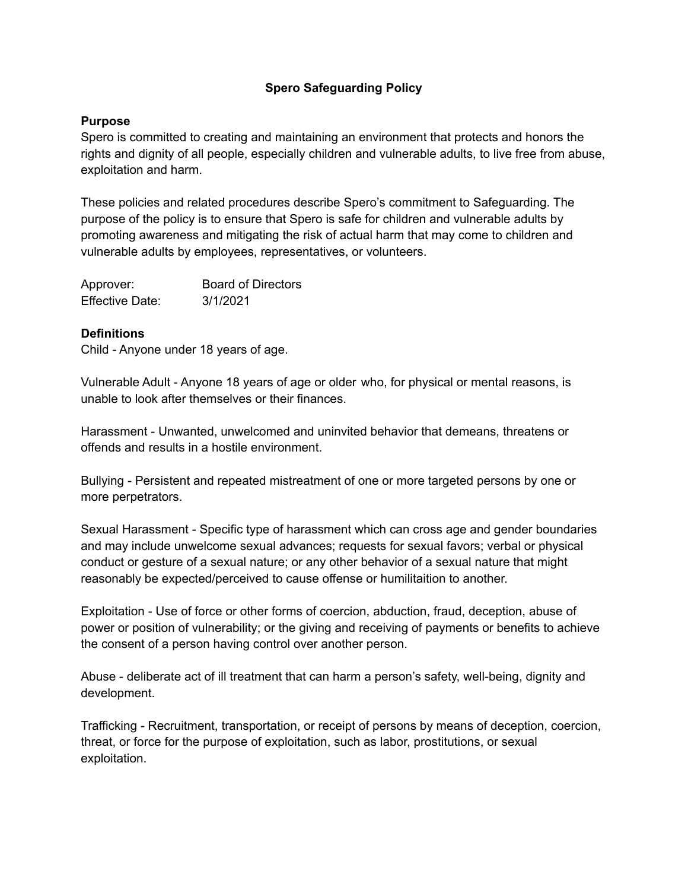## **Spero Safeguarding Policy**

#### **Purpose**

Spero is committed to creating and maintaining an environment that protects and honors the rights and dignity of all people, especially children and vulnerable adults, to live free from abuse, exploitation and harm.

These policies and related procedures describe Spero's commitment to Safeguarding. The purpose of the policy is to ensure that Spero is safe for children and vulnerable adults by promoting awareness and mitigating the risk of actual harm that may come to children and vulnerable adults by employees, representatives, or volunteers.

| Approver:              | <b>Board of Directors</b> |
|------------------------|---------------------------|
| <b>Effective Date:</b> | 3/1/2021                  |

#### **Definitions**

Child - Anyone under 18 years of age.

Vulnerable Adult - Anyone 18 years of age or older who, for physical or mental reasons, is unable to look after themselves or their finances.

Harassment - Unwanted, unwelcomed and uninvited behavior that demeans, threatens or offends and results in a hostile environment.

Bullying - Persistent and repeated mistreatment of one or more targeted persons by one or more perpetrators.

Sexual Harassment - Specific type of harassment which can cross age and gender boundaries and may include unwelcome sexual advances; requests for sexual favors; verbal or physical conduct or gesture of a sexual nature; or any other behavior of a sexual nature that might reasonably be expected/perceived to cause offense or humilitaition to another.

Exploitation - Use of force or other forms of coercion, abduction, fraud, deception, abuse of power or position of vulnerability; or the giving and receiving of payments or benefits to achieve the consent of a person having control over another person.

Abuse - deliberate act of ill treatment that can harm a person's safety, well-being, dignity and development.

Trafficking - Recruitment, transportation, or receipt of persons by means of deception, coercion, threat, or force for the purpose of exploitation, such as labor, prostitutions, or sexual exploitation.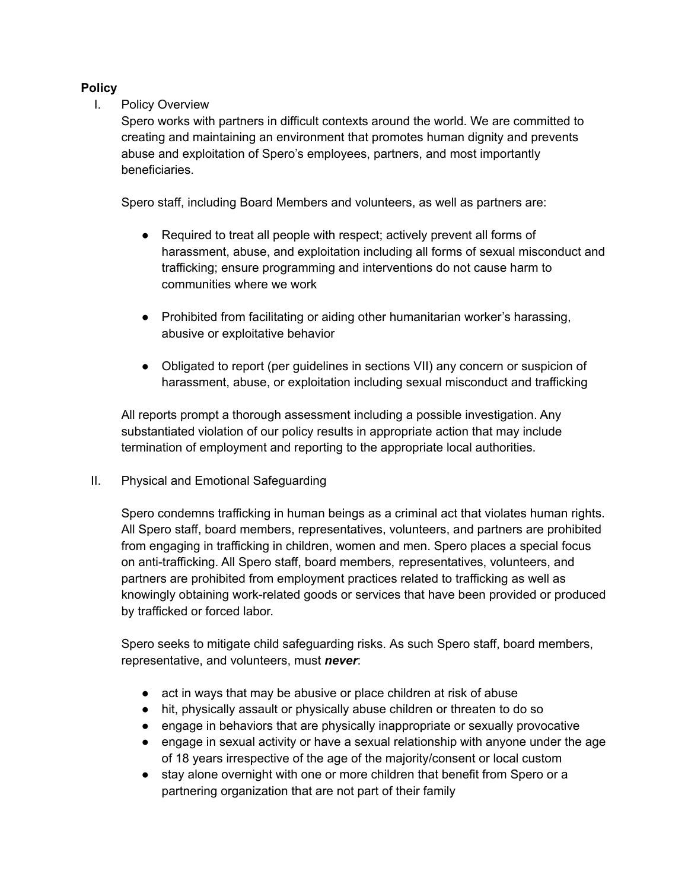## **Policy**

## I. Policy Overview

Spero works with partners in difficult contexts around the world. We are committed to creating and maintaining an environment that promotes human dignity and prevents abuse and exploitation of Spero's employees, partners, and most importantly beneficiaries.

Spero staff, including Board Members and volunteers, as well as partners are:

- Required to treat all people with respect; actively prevent all forms of harassment, abuse, and exploitation including all forms of sexual misconduct and trafficking; ensure programming and interventions do not cause harm to communities where we work
- Prohibited from facilitating or aiding other humanitarian worker's harassing, abusive or exploitative behavior
- Obligated to report (per guidelines in sections VII) any concern or suspicion of harassment, abuse, or exploitation including sexual misconduct and trafficking

All reports prompt a thorough assessment including a possible investigation. Any substantiated violation of our policy results in appropriate action that may include termination of employment and reporting to the appropriate local authorities.

II. Physical and Emotional Safeguarding

Spero condemns trafficking in human beings as a criminal act that violates human rights. All Spero staff, board members, representatives, volunteers, and partners are prohibited from engaging in trafficking in children, women and men. Spero places a special focus on anti-trafficking. All Spero staff, board members, representatives, volunteers, and partners are prohibited from employment practices related to trafficking as well as knowingly obtaining work-related goods or services that have been provided or produced by trafficked or forced labor.

Spero seeks to mitigate child safeguarding risks. As such Spero staff, board members, representative, and volunteers, must *never*:

- act in ways that may be abusive or place children at risk of abuse
- hit, physically assault or physically abuse children or threaten to do so
- engage in behaviors that are physically inappropriate or sexually provocative
- engage in sexual activity or have a sexual relationship with anyone under the age of 18 years irrespective of the age of the majority/consent or local custom
- stay alone overnight with one or more children that benefit from Spero or a partnering organization that are not part of their family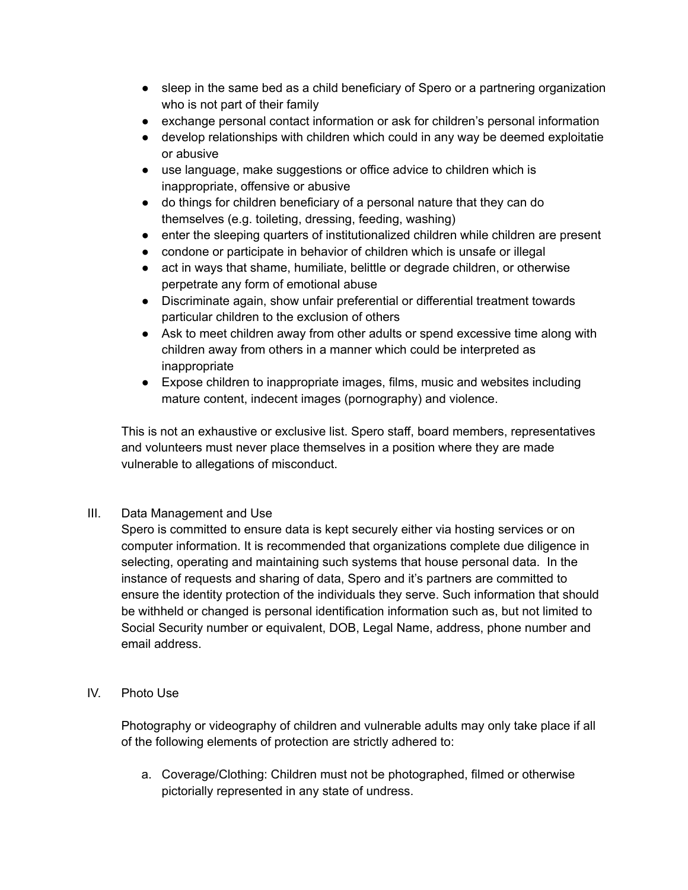- sleep in the same bed as a child beneficiary of Spero or a partnering organization who is not part of their family
- exchange personal contact information or ask for children's personal information
- develop relationships with children which could in any way be deemed exploitatie or abusive
- use language, make suggestions or office advice to children which is inappropriate, offensive or abusive
- do things for children beneficiary of a personal nature that they can do themselves (e.g. toileting, dressing, feeding, washing)
- enter the sleeping quarters of institutionalized children while children are present
- condone or participate in behavior of children which is unsafe or illegal
- act in ways that shame, humiliate, belittle or degrade children, or otherwise perpetrate any form of emotional abuse
- Discriminate again, show unfair preferential or differential treatment towards particular children to the exclusion of others
- Ask to meet children away from other adults or spend excessive time along with children away from others in a manner which could be interpreted as inappropriate
- Expose children to inappropriate images, films, music and websites including mature content, indecent images (pornography) and violence.

This is not an exhaustive or exclusive list. Spero staff, board members, representatives and volunteers must never place themselves in a position where they are made vulnerable to allegations of misconduct.

# III. Data Management and Use

Spero is committed to ensure data is kept securely either via hosting services or on computer information. It is recommended that organizations complete due diligence in selecting, operating and maintaining such systems that house personal data. In the instance of requests and sharing of data, Spero and it's partners are committed to ensure the identity protection of the individuals they serve. Such information that should be withheld or changed is personal identification information such as, but not limited to Social Security number or equivalent, DOB, Legal Name, address, phone number and email address.

IV. Photo Use

Photography or videography of children and vulnerable adults may only take place if all of the following elements of protection are strictly adhered to:

a. Coverage/Clothing: Children must not be photographed, filmed or otherwise pictorially represented in any state of undress.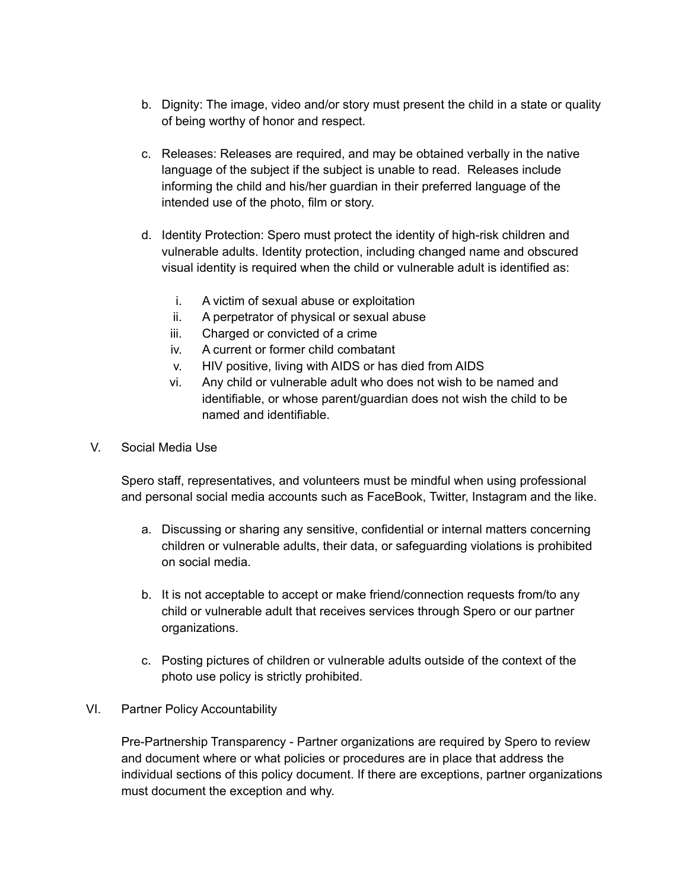- b. Dignity: The image, video and/or story must present the child in a state or quality of being worthy of honor and respect.
- c. Releases: Releases are required, and may be obtained verbally in the native language of the subject if the subject is unable to read. Releases include informing the child and his/her guardian in their preferred language of the intended use of the photo, film or story.
- d. Identity Protection: Spero must protect the identity of high-risk children and vulnerable adults. Identity protection, including changed name and obscured visual identity is required when the child or vulnerable adult is identified as:
	- i. A victim of sexual abuse or exploitation
	- ii. A perpetrator of physical or sexual abuse
	- iii. Charged or convicted of a crime
	- iv. A current or former child combatant
	- v. HIV positive, living with AIDS or has died from AIDS
	- vi. Any child or vulnerable adult who does not wish to be named and identifiable, or whose parent/guardian does not wish the child to be named and identifiable.
- V. Social Media Use

Spero staff, representatives, and volunteers must be mindful when using professional and personal social media accounts such as FaceBook, Twitter, Instagram and the like.

- a. Discussing or sharing any sensitive, confidential or internal matters concerning children or vulnerable adults, their data, or safeguarding violations is prohibited on social media.
- b. It is not acceptable to accept or make friend/connection requests from/to any child or vulnerable adult that receives services through Spero or our partner organizations.
- c. Posting pictures of children or vulnerable adults outside of the context of the photo use policy is strictly prohibited.
- VI. Partner Policy Accountability

Pre-Partnership Transparency - Partner organizations are required by Spero to review and document where or what policies or procedures are in place that address the individual sections of this policy document. If there are exceptions, partner organizations must document the exception and why.